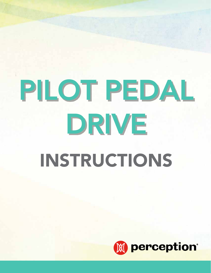

# PILOT PEDAL DRIVE INSTRUCTIONS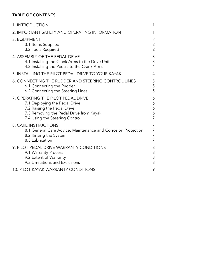# TABLE OF CONTENTS

| 1. INTRODUCTION                                                                                                                           | 1              |
|-------------------------------------------------------------------------------------------------------------------------------------------|----------------|
| 2. IMPORTANT SAFETY AND OPERATING INFORMATION                                                                                             | 1              |
| 3. EQUIPMENT                                                                                                                              | 2              |
| 3.1 Items Supplied                                                                                                                        | $\overline{2}$ |
| 3.2 Tools Required                                                                                                                        | 2              |
| 4. ASSEMBLY OF THE PEDAL DRIVE                                                                                                            | 3              |
| 4.1 Installing the Crank Arms to the Drive Unit                                                                                           | 3              |
| 4.2 Installing the Pedals to the Crank Arms                                                                                               | 4              |
| 5. INSTALLING THE PILOT PEDAL DRIVE TO YOUR KAYAK                                                                                         | 4              |
| 6. CONNECTING THE RUDDER AND STEERING CONTROL LINES                                                                                       | 5              |
| 6.1 Connecting the Rudder                                                                                                                 | 5              |
| 6.2 Connecting the Steering Lines                                                                                                         | 5              |
| 7. OPERATING THE PILOT PEDAL DRIVE                                                                                                        | 6              |
| 7.1 Deploying the Pedal Drive                                                                                                             | 6              |
| 7.2 Raising the Pedal Drive                                                                                                               | 6              |
| 7.3 Removing the Pedal Drive from Kayak                                                                                                   | 6              |
| 7.4 Using the Steering Control                                                                                                            | 7              |
| <b>8. CARE INSTRUCTIONS</b><br>8.1 General Care Advice, Maintenance and Corrosion Protection<br>8.2 Rinsing the System<br>8.3 Lubrication | 7<br>7<br>7    |
| 9. PILOT PEDAL DRIVE WARRANTY CONDITIONS                                                                                                  | 8              |
| 9.1 Warranty Process                                                                                                                      | 8              |
| 9.2 Extent of Warranty                                                                                                                    | 8              |
| 9.3 Limitations and Exclusions                                                                                                            | 8              |
| <b>10. PILOT KAYAK WARRANTY CONDITIONS</b>                                                                                                | 9              |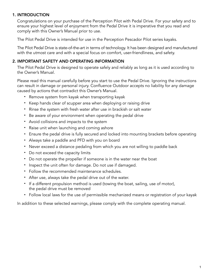# 1. INTRODUCTION

Congratulations on your purchase of the Perception Pilot with Pedal Drive. For your safety and to ensure your highest level of enjoyment from the Pedal Drive it is imperative that you read and comply with this Owner's Manual prior to use.

The Pilot Pedal Drive is intended for use in the Perception Pescador Pilot series kayaks.

The Pilot Pedal Drive is state-of-the-art in terms of technology. It has been designed and manufactured with the utmost care and with a special focus on comfort, user-friendliness, and safety.

# 2. IMPORTANT SAFETY AND OPERATING INFORMATION

The Pilot Pedal Drive is designed to operate safely and reliably as long as it is used according to the Owner's Manual.

Please read this manual carefully before you start to use the Pedal Drive. Ignoring the instructions can result in damage or personal injury. Confluence Outdoor accepts no liability for any damage caused by actions that contradict this Owner's Manual.

- Remove system from kayak when transporting kayak
- Keep hands clear of scupper area when deploying or raising drive
- Rinse the system with fresh water after use in brackish or salt water
- Be aware of your environment when operating the pedal drive
- Avoid collisions and impacts to the system
- Raise unit when launching and coming ashore
- Ensure the pedal drive is fully secured and locked into mounting brackets before operating
- Always take a paddle and PFD with you on board
- Never exceed a distance pedaling from which you are not willing to paddle back
- Do not exceed the capacity limits
- Do not operate the propeller if someone is in the water near the boat
- Inspect the unit often for damage. Do not use if damaged.
- Follow the recommended maintenance schedules.
- After use, always take the pedal drive out of the water.
- If a different propulsion method is used (towing the boat, sailing, use of motor), the pedal drive must be removed
- Follow local laws for the use of permissible mechanized means or registration of your kayak

In addition to these selected warnings, please comply with the complete operating manual.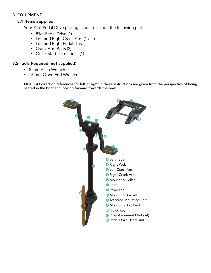# 3. EQUIPMENT

# 3.1 Items Supplied

Your Pilot Pedal Drive package should include the following parts:

- Pilot Pedal Drive (1)
- Left and Right Crank Arm (1 ea.)
- Left and Right Pedal (1 ea.)
- Crank Arm Bolts (2)
- Quick Start Instructions (1)

#### 3.2 Tools Required (not supplied)

- 8 mm Allen Wrench
- 15 mm Open End Wrench

 NOTE: All direction references for left or right in these instructions are given from the perspective of being seated in the boat and looking forward towards the bow.

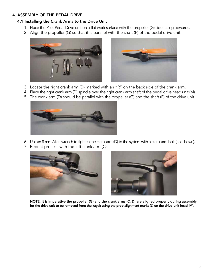# 4. ASSEMBLY OF THE PEDAL DRIVE

#### 4.1 Installing the Crank Arms to the Drive Unit

- 1. Place the Pilot Pedal Drive unit on a flat work surface with the propeller (G) side facing upwards.
- 2. Align the propeller (G) so that it is parallel with the shaft (F) of the pedal drive unit.





- 3. Locate the right crank arm (D) marked with an "R" on the back side of the crank arm.
- 4. Place the right crank arm (D) spindle over the right crank arm shaft of the pedal drive head unit (M).
- 5. The crank arm (D) should be parallel with the propeller (G) and the shaft (F) of the drive unit.



- 6. Use an 8 mm Allen wrench to tighten the crank arm (D) to the system with a crank arm bolt (not shown).
- 7. Repeat process with the left crank arm (C).





 NOTE: It is imperative the propeller (G) and the crank arms (C, D) are aligned properly during assembly for the drive unit to be removed from the kayak using the prop alignment marks (L) on the drive unit head (M).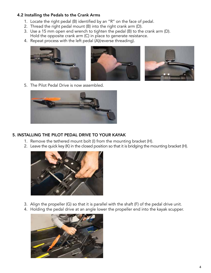## 4.2 Installing the Pedals to the Crank Arms

- 1. Locate the right pedal (B) identified by an "R" on the face of pedal.
- 2. Thread the right pedal mount (B) into the right crank arm (D).
- 3. Use a 15 mm open end wrench to tighten the pedal (B) to the crank arm (D). Hold the opposite crank arm (C) in place to generate resistance.
- 4. Repeat process with the left pedal (A)(reverse threading).



5. The Pilot Pedal Drive is now assembled.



# 5. INSTALLING THE PILOT PEDAL DRIVE TO YOUR KAYAK

- 1. Remove the tethered mount bolt (I) from the mounting bracket (H).
- 2. Leave the quick key (K) in the closed position so that it is bridging the mounting bracket (H).



- 3. Align the propeller (G) so that it is parallel with the shaft (F) of the pedal drive unit.
- 4. Holding the pedal drive at an angle lower the propeller end into the kayak scupper.

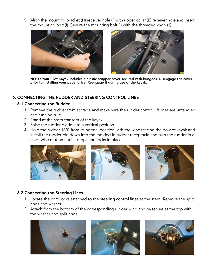5. Align the mounting bracket (H) receiver hole (I) with upper collar (E) receiver hole and insert the mounting bolt (I). Secure the mounting bolt (I) with the threaded knob (J).



NOTE: Your Pilot Kayak includes a plastic scupper cover secured with bungees. Disengage the cover<br>prior to installing your pedal drive. Reengage it during use of the kayak.

## 6. CONNECTING THE RUDDER AND STEERING CONTROL LINES

#### 6.1 Connecting the Rudder

- 1. Remove the rudder from storage and make sure the rudder control lift lines are untangled and running true.
- 2. Stand at the stern transom of the kayak.
- 3. Raise the rudder blade into a vertical position.
- 4. Hold the rudder 180° from its normal position with the wings facing the bow of kayak and install the rudder pin down into the molded-in rudder receptacle and turn the rudder in a clock wise motion until it drops and locks in place.



#### 6.2 Connecting the Steering Lines

- 1. Locate the cord locks attached to the steering control lines at the stern. Remove the split rings and washer.
- 2. Attach from the bottom of the corresponding rudder wing and re-secure at the top with the washer and split rings.





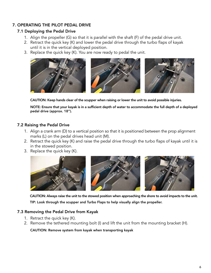# 7. OPERATING THE PILOT PEDAL DRIVE

#### 7.1 Deploying the Pedal Drive

- 1. Align the propeller (G) so that it is parallel with the shaft (F) of the pedal drive unit.
- 2. Retract the quick key (K) and lower the pedal drive through the turbo flaps of kayak until it is in the vertical deployed position.
- 3. Replace the quick key (K). You are now ready to pedal the unit.



CAUTION: Keep hands clear of the scupper when raising or lower the unit to avoid possible injuries.

 NOTE: Ensure that your kayak is in a sufficient depth of water to accommodate the full depth of a deployed pedal drive (approx. 18").

## 7.2 Raising the Pedal Drive

- 1. Align a crank arm (D) to a vertical position so that it is positioned between the prop alignment marks (L) on the pedal drives head unit (M).
- 2. Retract the quick key (K) and raise the pedal drive through the turbo flaps of kayak until it is in the stowed position.
- 3. Replace the quick key (K).



 CAUTION: Always raise the unit to the stowed position when approaching the shore to avoid impacts to the unit. TIP: Look through the scupper and Turbo Flaps to help visually align the propeller.

#### 7.3 Removing the Pedal Drive from Kayak

- 1. Retract the quick key (K).
- 2. Remove the tethered mounting bolt (I) and lift the unit from the mounting bracket (H).

CAUTION: Remove system from kayak when transporting kayak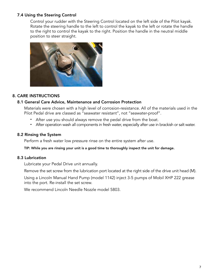# 7.4 Using the Steering Control

 Control your rudder with the Steering Control located on the left side of the Pilot kayak. Rotate the steering handle to the left to control the kayak to the left or rotate the handle to the right to control the kayak to the right. Position the handle in the neutral middle position to steer straight.



## 8. CARE INSTRUCTIONS

#### 8.1 General Care Advice, Maintenance and Corrosion Protection

 Materials were chosen with a high level of corrosion-resistance. All of the materials used in the Pilot Pedal drive are classed as "seawater resistant", not "seawater-proof".

- After use you should always remove the pedal drive from the boat.
- After operation wash all components in fresh water, especially after use in brackish or salt water.

#### 8.2 Rinsing the System

Perform a fresh water low pressure rinse on the entire system after use.

TIP: While you are rinsing your unit is a good time to thoroughly inspect the unit for damage.

#### 8.3 Lubrication

Lubricate your Pedal Drive unit annually.

Remove the set screw from the lubrication port located at the right side of the drive unit head (M).

 Using a Lincoln Manual Hand Pump (model 1142) inject 3-5 pumps of Mobil XHP 222 grease into the port. Re-install the set screw.

We recommend Lincoln Needle Nozzle model 5803.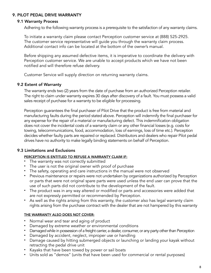# 9. PILOT PEDAL DRIVE WARRANTY

#### 9.1 Warranty Process

Adhering to the following warranty process is a prerequisite to the satisfaction of any warranty claims.

 To initiate a warranty claim please contact Perception customer service at (888) 525-2925. The customer service representative will guide you through the warranty claim process. Additional contact info can be located at the bottom of the owner's manual.

 Before shipping any assumed defective items, it is imperative to coordinate the delivery with Perception customer service. We are unable to accept products which we have not been notified and will therefore refuse delivery.

Customer Service will supply direction on returning warranty claims.

#### 9.2 Extent of Warranty

 The warranty ends two (2) years from the date of purchase from an authorized Perception retailer. The right to claim under warranty expires 30 days after discovery of a fault. You must possess a valid sales receipt of purchase for a warranty to be eligible for processing.

 Perception guarantees the final purchaser of Pilot Drive that the product is free from material and manufacturing faults during the period stated above. Perception will indemnify the final purchaser for any expense for the repair of a material or manufacturing defect. This indemnification obligation does not cover the incidental costs of a warranty claim or any other financial losses (e.g. costs for towing, telecommunications, food, accommodation, loss of earnings, loss of time etc.). Perception decides whether faulty parts are repaired or replaced. Distributors and dealers who repair Pilot pedal drives have no authority to make legally binding statements on behalf of Perception.

# 9.3 Limitations and Exclusions

#### PERCEPTION IS ENTITLED TO REFUSE A WARRANTY CLAIM IF:

- The warranty was not correctly submitted
- The user is not the original owner with proof of purchase
- The safety, operating and care instructions in the manual were not observed
- Previous maintenance or repairs were not undertaken by organizations authorized by Perception or parts that were not original spare parts were used unless the end user can prove that the use of such parts did not contribute to the development of the fault.
- • The product was in any way altered or modified or parts and accessories were added that are not expressly permitted or recommended by Perception.
- As well as the rights arising from this warranty, the customer also has legal warranty claim rights arising from the purchase contract with the dealer that are not hampered by this warranty

#### THE WARRANTY ALSO DOES NOT COVER:

- Normal wear and tear and aging of product
- Damaged by extreme weather or environmental conditions
- Damaged while in possession of a freight carrier, a dealer, consumer, or any party other than Perception
- Damaged by accident, neglect, improper use or handling
- Damage caused by hitting submerged objects or launching or landing your kayak without retracting the pedal drive unit
- Kayaks that have been towed by power or sail boats
- Units sold as "demos" (units that have been used for commercial or rental purposes)